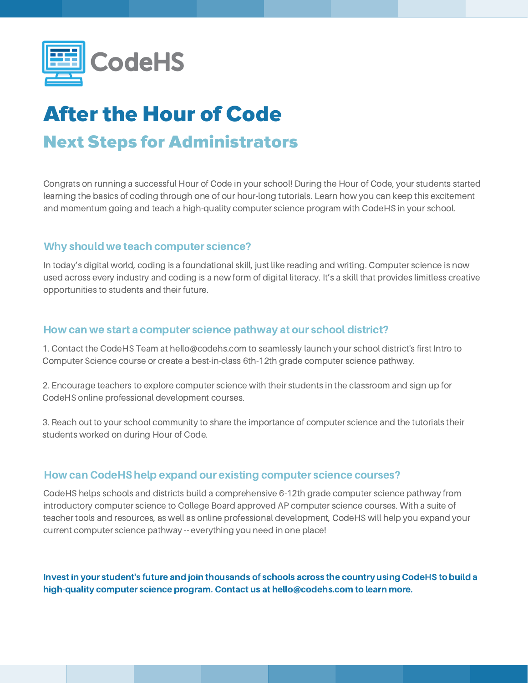

# After the Hour of Code Next Steps for Administrators

Congrats on running a successful Hour of Code in your school! During the Hour of Code, your students started learning the basics of coding through one of our hour-long tutorials. Learn how you can keep this excitement and momentum going and teach a high-quality computer science program with CodeHS in your school.

#### Why should we teach computer science?

In today's digital world, coding is a foundational skill, just like reading and writing. Computer science is now used across every industry and coding is a new form of digital literacy. It's a skill that provides limitless creative opportunities to students and their future.

#### How can we start a computer science pathway at our school district?

1. Contact the CodeHS Team at hello@codehs.com to seamlessly launch your school district's first Intro to Computer Science course or create a best-in-class 6th-12th grade computer science pathway.

2. Encourage teachers to explore computer science with their students in the classroom and sign up for CodeHS online professional development courses.

3. Reach out to your school community to share the importance of computer science and the tutorials their students worked on during Hour of Code.

### How can CodeHS help expand our existing computer science courses?

CodeHS helps schools and districts build a comprehensive 6-12th grade computer science pathway from introductory computer science to College Board approved AP computer science courses. With a suite of teacher tools and resources, as well as online professional development, CodeHS will help you expand your current computer science pathway -- everything you need in one place!

Invest in your student's future and join thousands of schools across the country using CodeHS to build a high-quality computer science program. Contact us at hello@codehs.com to learn more.